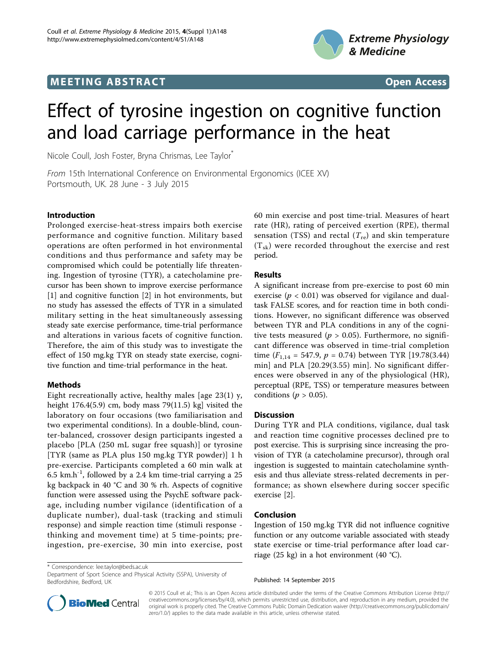## **MEETING ABSTRACT And CONSUMING ABSTRACT**



# Effect of tyrosine ingestion on cognitive function and load carriage performance in the heat

Nicole Coull, Josh Foster, Bryna Chrismas, Lee Taylor<sup>\*</sup>

From 15th International Conference on Environmental Ergonomics (ICEE XV) Portsmouth, UK. 28 June - 3 July 2015

#### Introduction

Prolonged exercise-heat-stress impairs both exercise performance and cognitive function. Military based operations are often performed in hot environmental conditions and thus performance and safety may be compromised which could be potentially life threatening. Ingestion of tyrosine (TYR), a catecholamine precursor has been shown to improve exercise performance [[1\]](#page-1-0) and cognitive function [\[2](#page-1-0)] in hot environments, but no study has assessed the effects of TYR in a simulated military setting in the heat simultaneously assessing steady sate exercise performance, time-trial performance and alterations in various facets of cognitive function. Therefore, the aim of this study was to investigate the effect of 150 mg.kg TYR on steady state exercise, cognitive function and time-trial performance in the heat.

### Methods

Eight recreationally active, healthy males [age  $23(1)$  y, height  $176.4(5.9)$  cm, body mass  $79(11.5)$  kg] visited the laboratory on four occasions (two familiarisation and two experimental conditions). In a double-blind, counter-balanced, crossover design participants ingested a placebo [PLA (250 mL sugar free squash)] or tyrosine [TYR (same as PLA plus 150 mg.kg TYR powder)] 1 h pre-exercise. Participants completed a 60 min walk at 6.5 km.h<sup>-1</sup>, followed by a 2.4 km time-trial carrying a 25 kg backpack in 40 °C and 30 % rh. Aspects of cognitive function were assessed using the PsychE software package, including number vigilance (identification of a duplicate number), dual-task (tracking and stimuli response) and simple reaction time (stimuli response thinking and movement time) at 5 time-points; preingestion, pre-exercise, 30 min into exercise, post 60 min exercise and post time-trial. Measures of heart rate (HR), rating of perceived exertion (RPE), thermal sensation (TSS) and rectal ( $T_{\text{re}}$ ) and skin temperature  $(T_{sk})$  were recorded throughout the exercise and rest period.

#### Results

A significant increase from pre-exercise to post 60 min exercise ( $p < 0.01$ ) was observed for vigilance and dualtask FALSE scores, and for reaction time in both conditions. However, no significant difference was observed between TYR and PLA conditions in any of the cognitive tests measured ( $p > 0.05$ ). Furthermore, no significant difference was observed in time-trial completion time  $(F_{1,14} = 547.9, p = 0.74)$  between TYR [19.78(3.44) min] and PLA [20.29(3.55) min]. No significant differences were observed in any of the physiological (HR), perceptual (RPE, TSS) or temperature measures between conditions ( $p > 0.05$ ).

#### **Discussion**

During TYR and PLA conditions, vigilance, dual task and reaction time cognitive processes declined pre to post exercise. This is surprising since increasing the provision of TYR (a catecholamine precursor), through oral ingestion is suggested to maintain catecholamine synthesis and thus alleviate stress-related decrements in performance; as shown elsewhere during soccer specific exercise [\[2](#page-1-0)].

#### Conclusion

Ingestion of 150 mg.kg TYR did not influence cognitive function or any outcome variable associated with steady state exercise or time-trial performance after load carriage (25 kg) in a hot environment (40 °C).

\* Correspondence: [lee.taylor@beds.ac.uk](mailto:lee.taylor@beds.ac.uk)

Department of Sport Science and Physical Activity (SSPA), University of Bedfordshire, Bedford, UK

Published: 14 September 2015



© 2015 Coull et al.; This is an Open Access article distributed under the terms of the Creative Commons Attribution License [\(http://](http://creativecommons.org/licenses/by/4.0) [creativecommons.org/licenses/by/4.0](http://creativecommons.org/licenses/by/4.0)), which permits unrestricted use, distribution, and reproduction in any medium, provided the original work is properly cited. The Creative Commons Public Domain Dedication waiver ([http://creativecommons.org/publicdomain/](http://creativecommons.org/publicdomain/zero/1.0/) [zero/1.0/](http://creativecommons.org/publicdomain/zero/1.0/)) applies to the data made available in this article, unless otherwise stated.